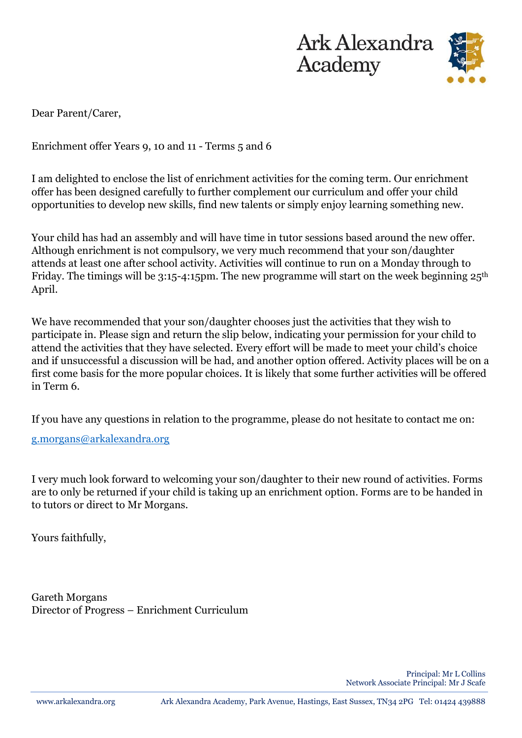



Dear Parent/Carer,

Enrichment offer Years 9, 10 and 11 - Terms 5 and 6

I am delighted to enclose the list of enrichment activities for the coming term. Our enrichment offer has been designed carefully to further complement our curriculum and offer your child opportunities to develop new skills, find new talents or simply enjoy learning something new.

Your child has had an assembly and will have time in tutor sessions based around the new offer. Although enrichment is not compulsory, we very much recommend that your son/daughter attends at least one after school activity. Activities will continue to run on a Monday through to Friday. The timings will be 3:15-4:15pm. The new programme will start on the week beginning  $25<sup>th</sup>$ April.

We have recommended that your son/daughter chooses just the activities that they wish to participate in. Please sign and return the slip below, indicating your permission for your child to attend the activities that they have selected. Every effort will be made to meet your child's choice and if unsuccessful a discussion will be had, and another option offered. Activity places will be on a first come basis for the more popular choices. It is likely that some further activities will be offered in Term 6.

If you have any questions in relation to the programme, please do not hesitate to contact me on:

[g.morgans@arkalexandra.org](mailto:g.morgans@arkalexandra.org)

I very much look forward to welcoming your son/daughter to their new round of activities. Forms are to only be returned if your child is taking up an enrichment option. Forms are to be handed in to tutors or direct to Mr Morgans.

Yours faithfully,

Gareth Morgans Director of Progress – Enrichment Curriculum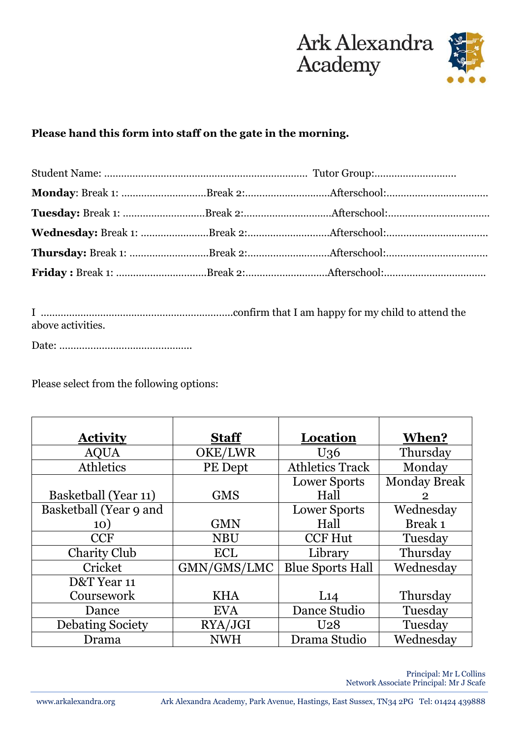



## **Please hand this form into staff on the gate in the morning.**

I …………………………………………………………..confirm that I am happy for my child to attend the above activities.

Date: ………………………………………..

Please select from the following options:

| <b>Activity</b>         | <b>Staff</b> | Location                | When?               |
|-------------------------|--------------|-------------------------|---------------------|
| <b>AQUA</b>             | OKE/LWR      | U <sub>36</sub>         | Thursday            |
| Athletics               | PE Dept      | <b>Athletics Track</b>  | Monday              |
|                         |              | <b>Lower Sports</b>     | <b>Monday Break</b> |
| Basketball (Year 11)    | <b>GMS</b>   | Hall                    | $\overline{2}$      |
| Basketball (Year 9 and  |              | <b>Lower Sports</b>     | Wednesday           |
| 10)                     | <b>GMN</b>   | Hall                    | Break 1             |
| <b>CCF</b>              | <b>NBU</b>   | <b>CCF Hut</b>          | Tuesday             |
| <b>Charity Club</b>     | <b>ECL</b>   | Library                 | Thursday            |
| Cricket                 | GMN/GMS/LMC  | <b>Blue Sports Hall</b> | Wednesday           |
| D&T Year 11             |              |                         |                     |
| Coursework              | <b>KHA</b>   | L14                     | Thursday            |
| Dance                   | <b>EVA</b>   | Dance Studio            | Tuesday             |
| <b>Debating Society</b> | RYA/JGI      | U <sub>28</sub>         | Tuesday             |
| Drama                   | <b>NWH</b>   | Drama Studio            | Wednesday           |

Principal: Mr L Collins Network Associate Principal: Mr J Scafe